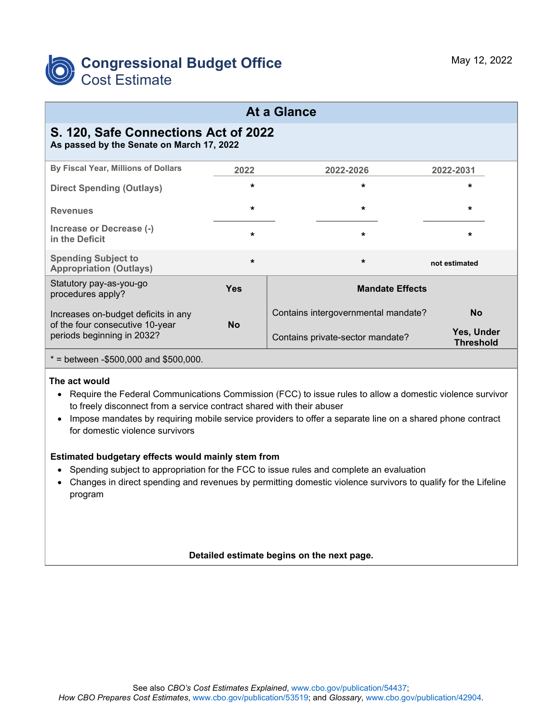

### **At a Glance**

# **S. 120, Safe Connections Act of 2022**

**As passed by the Senate on March 17, 2022**

| By Fiscal Year, Millions of Dollars                                                                  | 2022       | 2022-2026                           | 2022-2031                      |
|------------------------------------------------------------------------------------------------------|------------|-------------------------------------|--------------------------------|
| <b>Direct Spending (Outlays)</b>                                                                     | $\star$    | $\star$                             | $\star$                        |
| <b>Revenues</b>                                                                                      | $\star$    | $\star$                             | $\star$                        |
| Increase or Decrease (-)<br>in the Deficit                                                           | $\star$    | $\star$                             | $\star$                        |
| <b>Spending Subject to</b><br><b>Appropriation (Outlays)</b>                                         | $\star$    | $\star$                             | not estimated                  |
| Statutory pay-as-you-go<br>procedures apply?                                                         | <b>Yes</b> | <b>Mandate Effects</b>              |                                |
| Increases on-budget deficits in any<br>of the four consecutive 10-year<br>periods beginning in 2032? | <b>No</b>  | Contains intergovernmental mandate? | <b>No</b>                      |
|                                                                                                      |            | Contains private-sector mandate?    | Yes, Under<br><b>Threshold</b> |
| $*$ = between -\$500,000 and \$500,000.                                                              |            |                                     |                                |

#### **The act would**

- Require the Federal Communications Commission (FCC) to issue rules to allow a domestic violence survivor to freely disconnect from a service contract shared with their abuser
- Impose mandates by requiring mobile service providers to offer a separate line on a shared phone contract for domestic violence survivors

#### **Estimated budgetary effects would mainly stem from**

- Spending subject to appropriation for the FCC to issue rules and complete an evaluation
- Changes in direct spending and revenues by permitting domestic violence survivors to qualify for the Lifeline program

#### **Detailed estimate begins on the next page.**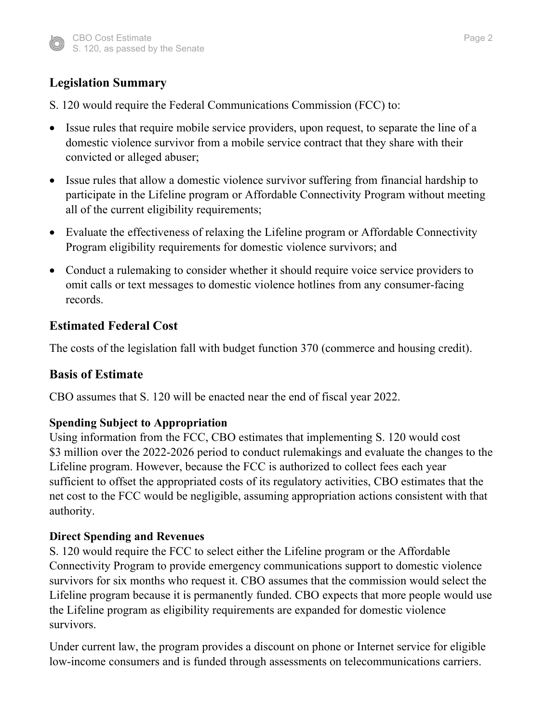

# **Legislation Summary**

- S. 120 would require the Federal Communications Commission (FCC) to:
- Issue rules that require mobile service providers, upon request, to separate the line of a domestic violence survivor from a mobile service contract that they share with their convicted or alleged abuser;
- Issue rules that allow a domestic violence survivor suffering from financial hardship to participate in the Lifeline program or Affordable Connectivity Program without meeting all of the current eligibility requirements;
- Evaluate the effectiveness of relaxing the Lifeline program or Affordable Connectivity Program eligibility requirements for domestic violence survivors; and
- Conduct a rulemaking to consider whether it should require voice service providers to omit calls or text messages to domestic violence hotlines from any consumer-facing records.

# **Estimated Federal Cost**

The costs of the legislation fall with budget function 370 (commerce and housing credit).

### **Basis of Estimate**

CBO assumes that S. 120 will be enacted near the end of fiscal year 2022.

### **Spending Subject to Appropriation**

Using information from the FCC, CBO estimates that implementing S. 120 would cost \$3 million over the 2022-2026 period to conduct rulemakings and evaluate the changes to the Lifeline program. However, because the FCC is authorized to collect fees each year sufficient to offset the appropriated costs of its regulatory activities, CBO estimates that the net cost to the FCC would be negligible, assuming appropriation actions consistent with that authority.

#### **Direct Spending and Revenues**

S. 120 would require the FCC to select either the Lifeline program or the Affordable Connectivity Program to provide emergency communications support to domestic violence survivors for six months who request it. CBO assumes that the commission would select the Lifeline program because it is permanently funded. CBO expects that more people would use the Lifeline program as eligibility requirements are expanded for domestic violence survivors.

Under current law, the program provides a discount on phone or Internet service for eligible low-income consumers and is funded through assessments on telecommunications carriers.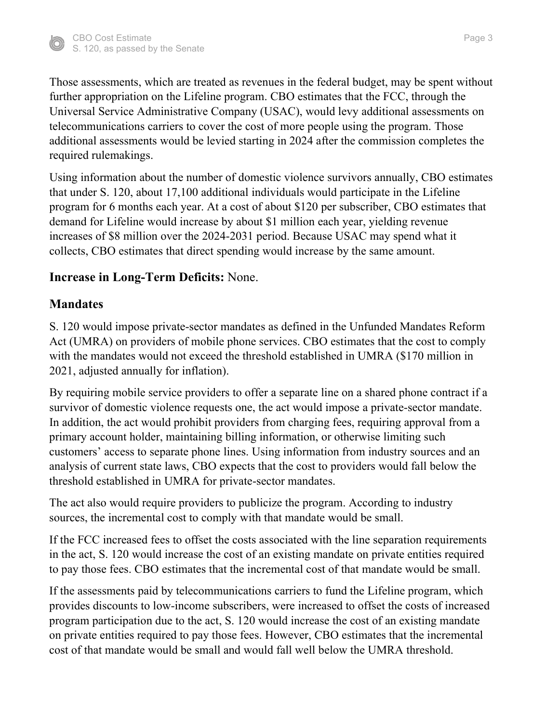

Those assessments, which are treated as revenues in the federal budget, may be spent without further appropriation on the Lifeline program. CBO estimates that the FCC, through the Universal Service Administrative Company (USAC), would levy additional assessments on telecommunications carriers to cover the cost of more people using the program. Those additional assessments would be levied starting in 2024 after the commission completes the required rulemakings.

Using information about the number of domestic violence survivors annually, CBO estimates that under S. 120, about 17,100 additional individuals would participate in the Lifeline program for 6 months each year. At a cost of about \$120 per subscriber, CBO estimates that demand for Lifeline would increase by about \$1 million each year, yielding revenue increases of \$8 million over the 2024-2031 period. Because USAC may spend what it collects, CBO estimates that direct spending would increase by the same amount.

# **Increase in Long-Term Deficits:** None.

# **Mandates**

S. 120 would impose private-sector mandates as defined in the Unfunded Mandates Reform Act (UMRA) on providers of mobile phone services. CBO estimates that the cost to comply with the mandates would not exceed the threshold established in UMRA (\$170 million in 2021, adjusted annually for inflation).

By requiring mobile service providers to offer a separate line on a shared phone contract if a survivor of domestic violence requests one, the act would impose a private-sector mandate. In addition, the act would prohibit providers from charging fees, requiring approval from a primary account holder, maintaining billing information, or otherwise limiting such customers' access to separate phone lines. Using information from industry sources and an analysis of current state laws, CBO expects that the cost to providers would fall below the threshold established in UMRA for private-sector mandates.

The act also would require providers to publicize the program. According to industry sources, the incremental cost to comply with that mandate would be small.

If the FCC increased fees to offset the costs associated with the line separation requirements in the act, S. 120 would increase the cost of an existing mandate on private entities required to pay those fees. CBO estimates that the incremental cost of that mandate would be small.

If the assessments paid by telecommunications carriers to fund the Lifeline program, which provides discounts to low-income subscribers, were increased to offset the costs of increased program participation due to the act, S. 120 would increase the cost of an existing mandate on private entities required to pay those fees. However, CBO estimates that the incremental cost of that mandate would be small and would fall well below the UMRA threshold.